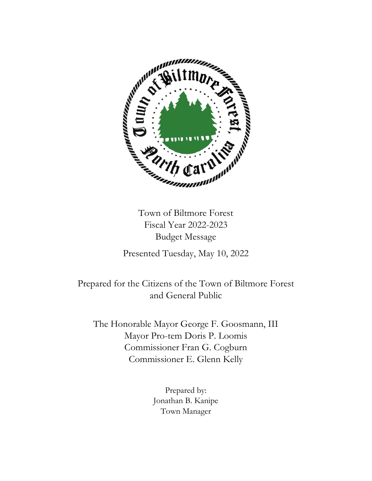

Town of Biltmore Forest Fiscal Year 2022-2023 Budget Message

Presented Tuesday, May 10, 2022

Prepared for the Citizens of the Town of Biltmore Forest and General Public

The Honorable Mayor George F. Goosmann, III Mayor Pro-tem Doris P. Loomis Commissioner Fran G. Cogburn Commissioner E. Glenn Kelly

> Prepared by: Jonathan B. Kanipe Town Manager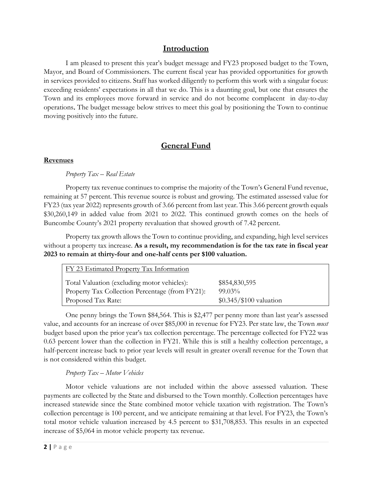# **Introduction**

I am pleased to present this year's budget message and FY23 proposed budget to the Town, Mayor, and Board of Commissioners. The current fiscal year has provided opportunities for growth in services provided to citizens. Staff has worked diligently to perform this work with a singular focus: exceeding residents' expectations in all that we do. This is a daunting goal, but one that ensures the Town and its employees move forward in service and do not become complacent in day-to-day operations. The budget message below strives to meet this goal by positioning the Town to continue moving positively into the future.

# **General Fund**

### **Revenues**

### *Property Tax – Real Estate*

Property tax revenue continues to comprise the majority of the Town's General Fund revenue, remaining at 57 percent. This revenue source is robust and growing. The estimated assessed value for FY23 (tax year 2022) represents growth of 3.66 percent from last year. This 3.66 percent growth equals \$30,260,149 in added value from 2021 to 2022. This continued growth comes on the heels of Buncombe County's 2021 property revaluation that showed growth of 7.42 percent.

Property tax growth allows the Town to continue providing, and expanding, high level services without a property tax increase. **As a result, my recommendation is for the tax rate in fiscal year 2023 to remain at thirty-four and one-half cents per \$100 valuation.**

| FY 23 Estimated Property Tax Information        |                          |
|-------------------------------------------------|--------------------------|
| Total Valuation (excluding motor vehicles):     | \$854,830,595            |
| Property Tax Collection Percentage (from FY21): | $99.03\%$                |
| Proposed Tax Rate:                              | $$0.345/\$100$ valuation |

One penny brings the Town \$84,564. This is \$2,477 per penny more than last year's assessed value, and accounts for an increase of over \$85,000 in revenue for FY23. Per state law, the Town *must* budget based upon the prior year's tax collection percentage. The percentage collected for FY22 was 0.63 percent lower than the collection in FY21. While this is still a healthy collection percentage, a half-percent increase back to prior year levels will result in greater overall revenue for the Town that is not considered within this budget.

### *Property Tax – Motor Vehicles*

Motor vehicle valuations are not included within the above assessed valuation. These payments are collected by the State and disbursed to the Town monthly. Collection percentages have increased statewide since the State combined motor vehicle taxation with registration. The Town's collection percentage is 100 percent, and we anticipate remaining at that level. For FY23, the Town's total motor vehicle valuation increased by 4.5 percent to \$31,708,853. This results in an expected increase of \$5,064 in motor vehicle property tax revenue.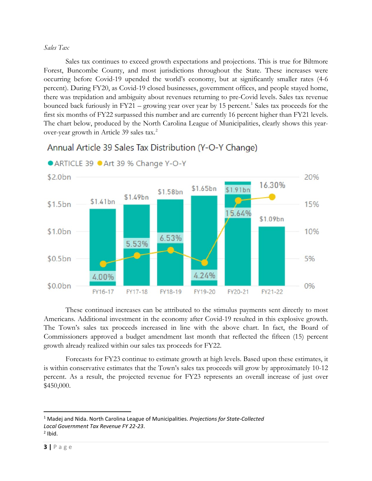#### *Sales Tax*

Sales tax continues to exceed growth expectations and projections. This is true for Biltmore Forest, Buncombe County, and most jurisdictions throughout the State. These increases were occurring before Covid-19 upended the world's economy, but at significantly smaller rates (4-6 percent). During FY20, as Covid-19 closed businesses, government offices, and people stayed home, there was trepidation and ambiguity about revenues returning to pre-Covid levels. Sales tax revenue bounced back furiously in  $FY21$  $FY21$  – growing year over year by 15 percent.<sup>1</sup> Sales tax proceeds for the first six months of FY22 surpassed this number and are currently 16 percent higher than FY21 levels. The chart below, produced by the North Carolina League of Municipalities, clearly shows this year-over-year growth in Article 39 sales tax.<sup>[2](#page-2-1)</sup>



# Annual Article 39 Sales Tax Distribution (Y-O-Y Change)

These continued increases can be attributed to the stimulus payments sent directly to most Americans. Additional investment in the economy after Covid-19 resulted in this explosive growth. The Town's sales tax proceeds increased in line with the above chart. In fact, the Board of Commissioners approved a budget amendment last month that reflected the fifteen (15) percent growth already realized within our sales tax proceeds for FY22.

Forecasts for FY23 continue to estimate growth at high levels. Based upon these estimates, it is within conservative estimates that the Town's sales tax proceeds will grow by approximately 10-12 percent. As a result, the projected revenue for FY23 represents an overall increase of just over \$450,000.

<span id="page-2-0"></span><sup>1</sup> Madej and Nida. North Carolina League of Municipalities. *Projections for State-Collected Local Government Tax Revenue FY 22-23*.  $2$  Ibid.

<span id="page-2-1"></span>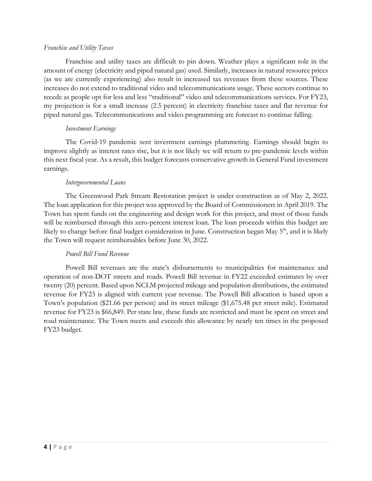#### *Franchise and Utility Taxes*

Franchise and utility taxes are difficult to pin down. Weather plays a significant role in the amount of energy (electricity and piped natural gas) used. Similarly, increases in natural resource prices (as we are currently experiencing) also result in increased tax revenues from these sources. These increases do not extend to traditional video and telecommunications usage. These sectors continue to recede as people opt for less and less "traditional" video and telecommunications services. For FY23, my projection is for a small increase (2.5 percent) in electricity franchise taxes and flat revenue for piped natural gas. Telecommunications and video programming are forecast to continue falling.

#### *Investment Earnings*

The Covid-19 pandemic sent investment earnings plummeting. Earnings should begin to improve slightly as interest rates rise, but it is not likely we will return to pre-pandemic levels within this next fiscal year. As a result, this budget forecasts conservative growth in General Fund investment earnings.

### *Intergovernmental Loans*

The Greenwood Park Stream Restoration project is under construction as of May 2, 2022. The loan application for this project was approved by the Board of Commissioners in April 2019. The Town has spent funds on the engineering and design work for this project, and most of those funds will be reimbursed through this zero-percent interest loan. The loan proceeds within this budget are likely to change before final budget consideration in June. Construction began May 5<sup>th</sup>, and it is likely the Town will request reimbursables before June 30, 2022.

#### *Powell Bill Fund Revenue*

Powell Bill revenues are the state's disbursements to municipalities for maintenance and operation of non-DOT streets and roads. Powell Bill revenue in FY22 exceeded estimates by over twenty (20) percent. Based upon NCLM projected mileage and population distributions, the estimated revenue for FY23 is aligned with current year revenue. The Powell Bill allocation is based upon a Town's population (\$21.66 per person) and its street mileage (\$1,675.48 per street mile). Estimated revenue for FY23 is \$66,849. Per state law, these funds are restricted and must be spent on street and road maintenance. The Town meets and exceeds this allowance by nearly ten times in the proposed FY23 budget.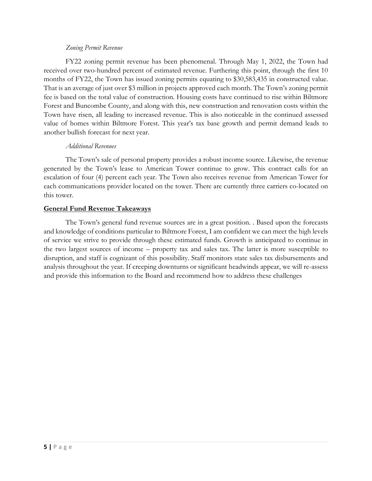#### *Zoning Permit Revenue*

FY22 zoning permit revenue has been phenomenal. Through May 1, 2022, the Town had received over two-hundred percent of estimated revenue. Furthering this point, through the first 10 months of FY22, the Town has issued zoning permits equating to \$30,583,435 in constructed value. That is an average of just over \$3 million in projects approved each month. The Town's zoning permit fee is based on the total value of construction. Housing costs have continued to rise within Biltmore Forest and Buncombe County, and along with this, new construction and renovation costs within the Town have risen, all leading to increased revenue. This is also noticeable in the continued assessed value of homes within Biltmore Forest. This year's tax base growth and permit demand leads to another bullish forecast for next year.

### *Additional Revenues*

The Town's sale of personal property provides a robust income source. Likewise, the revenue generated by the Town's lease to American Tower continue to grow. This contract calls for an escalation of four (4) percent each year. The Town also receives revenue from American Tower for each communications provider located on the tower. There are currently three carriers co-located on this tower.

### **General Fund Revenue Takeaways**

The Town's general fund revenue sources are in a great position. . Based upon the forecasts and knowledge of conditions particular to Biltmore Forest, I am confident we can meet the high levels of service we strive to provide through these estimated funds. Growth is anticipated to continue in the two largest sources of income – property tax and sales tax. The latter is more susceptible to disruption, and staff is cognizant of this possibility. Staff monitors state sales tax disbursements and analysis throughout the year. If creeping downturns or significant headwinds appear, we will re-assess and provide this information to the Board and recommend how to address these challenges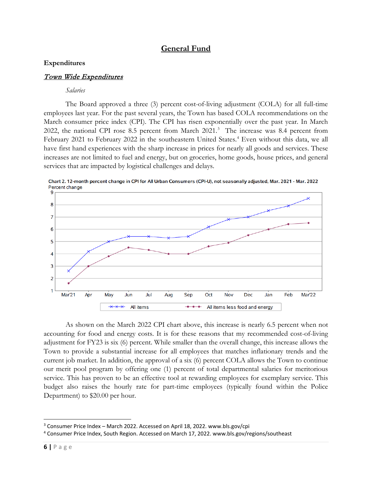# **General Fund**

#### **Expenditures**

### Town Wide Expenditures

#### *Salaries*

The Board approved a three (3) percent cost-of-living adjustment (COLA) for all full-time employees last year. For the past several years, the Town has based COLA recommendations on the March consumer price index (CPI). The CPI has risen exponentially over the past year. In March 2022, the national CPI rose 8.5 percent from March 2021. [3](#page-5-0) The increase was 8.4 percent from February 2021 to February 2022 in the southeastern United States.<sup>[4](#page-5-1)</sup> Even without this data, we all have first hand experiences with the sharp increase in prices for nearly all goods and services. These increases are not limited to fuel and energy, but on groceries, home goods, house prices, and general services that are impacted by logistical challenges and delays.



Chart 2. 12-month percent change in CPI for All Urban Consumers (CPI-U), not seasonally adjusted, Mar. 2021 - Mar. 2022 Percent change

As shown on the March 2022 CPI chart above, this increase is nearly 6.5 percent when not accounting for food and energy costs. It is for these reasons that my recommended cost-of-living adjustment for FY23 is six (6) percent. While smaller than the overall change, this increase allows the Town to provide a substantial increase for all employees that matches inflationary trends and the current job market. In addition, the approval of a six (6) percent COLA allows the Town to continue our merit pool program by offering one (1) percent of total departmental salaries for meritorious service. This has proven to be an effective tool at rewarding employees for exemplary service. This budget also raises the hourly rate for part-time employees (typically found within the Police Department) to \$20.00 per hour.

<span id="page-5-0"></span><sup>&</sup>lt;sup>3</sup> Consumer Price Index – March 2022. Accessed on April 18, 2022. www.bls.gov/cpi

<span id="page-5-1"></span><sup>4</sup> Consumer Price Index, South Region. Accessed on March 17, 2022. www.bls.gov/regions/southeast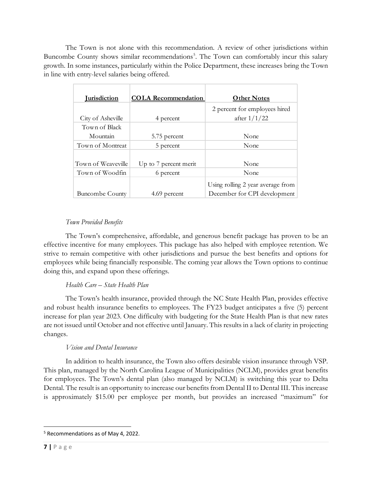The Town is not alone with this recommendation. A review of other jurisdictions within Buncombe County shows similar recommendations<sup>[5](#page-6-0)</sup>. The Town can comfortably incur this salary growth. In some instances, particularly within the Police Department, these increases bring the Town in line with entry-level salaries being offered.

| <u>Iurisdiction</u>    | <b>COLA Recommendation</b> | <b>Other Notes</b>                |
|------------------------|----------------------------|-----------------------------------|
|                        |                            |                                   |
|                        |                            | 2 percent for employees hired     |
| City of Asheville      | 4 percent                  | after $1/1/22$                    |
| Town of Black          |                            |                                   |
| Mountain               | 5.75 percent               | None                              |
| Town of Montreat       | 5 percent                  | None                              |
|                        |                            |                                   |
| Town of Weaveville     | Up to 7 percent merit      | None                              |
| Town of Woodfin        | 6 percent                  | None                              |
|                        |                            | Using rolling 2 year average from |
| <b>Buncombe County</b> | 4.69 percent               | December for CPI development      |

# *Town Provided Benefits*

The Town's comprehensive, affordable, and generous benefit package has proven to be an effective incentive for many employees. This package has also helped with employee retention. We strive to remain competitive with other jurisdictions and pursue the best benefits and options for employees while being financially responsible. The coming year allows the Town options to continue doing this, and expand upon these offerings.

### *Health Care – State Health Plan*

The Town's health insurance, provided through the NC State Health Plan, provides effective and robust health insurance benefits to employees. The FY23 budget anticipates a five (5) percent increase for plan year 2023. One difficulty with budgeting for the State Health Plan is that new rates are not issued until October and not effective until January. This results in a lack of clarity in projecting changes.

# *Vision and Dental Insurance*

In addition to health insurance, the Town also offers desirable vision insurance through VSP. This plan, managed by the North Carolina League of Municipalities (NCLM), provides great benefits for employees. The Town's dental plan (also managed by NCLM) is switching this year to Delta Dental. The result is an opportunity to increase our benefits from Dental II to Dental III. This increase is approximately \$15.00 per employee per month, but provides an increased "maximum" for

<span id="page-6-0"></span><sup>5</sup> Recommendations as of May 4, 2022.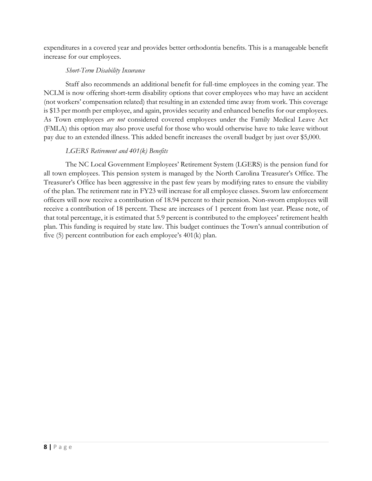expenditures in a covered year and provides better orthodontia benefits. This is a manageable benefit increase for our employees.

### *Short-Term Disability Insurance*

Staff also recommends an additional benefit for full-time employees in the coming year. The NCLM is now offering short-term disability options that cover employees who may have an accident (not workers' compensation related) that resulting in an extended time away from work. This coverage is \$13 per month per employee, and again, provides security and enhanced benefits for our employees. As Town employees *are not* considered covered employees under the Family Medical Leave Act (FMLA) this option may also prove useful for those who would otherwise have to take leave without pay due to an extended illness. This added benefit increases the overall budget by just over \$5,000.

### *LGERS Retirement and 401(k) Benefits*

The NC Local Government Employees' Retirement System (LGERS) is the pension fund for all town employees. This pension system is managed by the North Carolina Treasurer's Office. The Treasurer's Office has been aggressive in the past few years by modifying rates to ensure the viability of the plan. The retirement rate in FY23 will increase for all employee classes. Sworn law enforcement officers will now receive a contribution of 18.94 percent to their pension. Non-sworn employees will receive a contribution of 18 percent. These are increases of 1 percent from last year. Please note, of that total percentage, it is estimated that 5.9 percent is contributed to the employees' retirement health plan. This funding is required by state law. This budget continues the Town's annual contribution of five (5) percent contribution for each employee's 401(k) plan.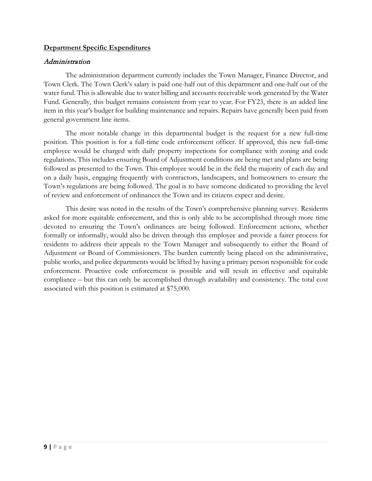### **Department Specific Expenditures**

#### Administration

The administration department currently includes the Town Manager, Finance Director, and Town Clerk. The Town Clerk's salary is paid one-half out of this department and one-half out of the water fund. This is allowable due to water billing and accounts receivable work generated by the Water Fund. Generally, this budget remains consistent from year to year. For FY23, there is an added line item in this year's budget for building maintenance and repairs. Repairs have generally been paid from general government line items.

The most notable change in this departmental budget is the request for a new full-time position. This position is for a full-time code enforcement officer. If approved, this new full-time employee would be charged with daily property inspections for compliance with zoning and code regulations. This includes ensuring Board of Adjustment conditions are being met and plans are being followed as presented to the Town. This employee would be in the field the majority of each day and on a daily basis, engaging frequently with contractors, landscapers, and homeowners to ensure the Town's regulations are being followed. The goal is to have someone dedicated to providing the level of review and enforcement of ordinances the Town and its citizens expect and desire.

This desire was noted in the results of the Town's comprehensive planning survey. Residents asked for more equitable enforcement, and this is only able to be accomplished through more time devoted to ensuring the Town's ordinances are being followed. Enforcement actions, whether formally or informally, would also be driven through this employee and provide a fairer process for residents to address their appeals to the Town Manager and subsequently to either the Board of Adjustment or Board of Commissioners. The burden currently being placed on the administrative, public works, and police departments would be lifted by having a primary person responsible for code enforcement. Proactive code enforcement is possible and will result in effective and equitable compliance – but this can only be accomplished through availability and consistency. The total cost associated with this position is estimated at \$75,000.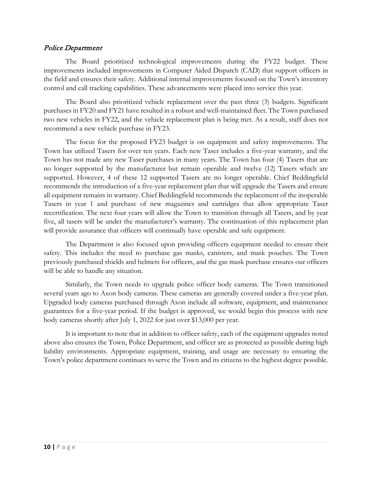#### Police Department

The Board prioritized technological improvements during the FY22 budget. These improvements included improvements in Computer Aided Dispatch (CAD) that support officers in the field and ensures their safety. Additional internal improvements focused on the Town's inventory control and call tracking capabilities. These advancements were placed into service this year.

The Board also prioritized vehicle replacement over the past three (3) budgets. Significant purchases in FY20 and FY21 have resulted in a robust and well-maintained fleet. The Town purchased two new vehicles in FY22, and the vehicle replacement plan is being met. As a result, staff does not recommend a new vehicle purchase in FY23.

The focus for the proposed FY23 budget is on equipment and safety improvements. The Town has utilized Tasers for over ten years. Each new Taser includes a five-year warranty, and the Town has not made any new Taser purchases in many years. The Town has four (4) Tasers that are no longer supported by the manufacturer but remain operable and twelve (12) Tasers which are supported. However, 4 of these 12 supported Tasers are no longer operable. Chief Beddingfield recommends the introduction of a five-year replacement plan that will upgrade the Tasers and ensure all equipment remains in warranty. Chief Beddingfield recommends the replacement of the inoperable Tasers in year 1 and purchase of new magazines and cartridges that allow appropriate Taser recertification. The next four years will allow the Town to transition through all Tasers, and by year five, all tasers will be under the manufacturer's warranty. The continuation of this replacement plan will provide assurance that officers will continually have operable and safe equipment.

The Department is also focused upon providing officers equipment needed to ensure their safety. This includes the need to purchase gas masks, canisters, and mask pouches. The Town previously purchased shields and helmets for officers, and the gas mask purchase ensures our officers will be able to handle any situation.

Similarly, the Town needs to upgrade police officer body cameras. The Town transitioned several years ago to Axon body cameras. These cameras are generally covered under a five-year plan. Upgraded body cameras purchased through Axon include all software, equipment, and maintenance guarantees for a five-year period. If the budget is approved, we would begin this process with new body cameras shortly after July 1, 2022 for just over \$13,000 per year.

It is important to note that in addition to officer safety, each of the equipment upgrades noted above also ensures the Town, Police Department, and officer are as protected as possible during high liability environments. Appropriate equipment, training, and usage are necessary to ensuring the Town's police department continues to serve the Town and its citizens to the highest degree possible.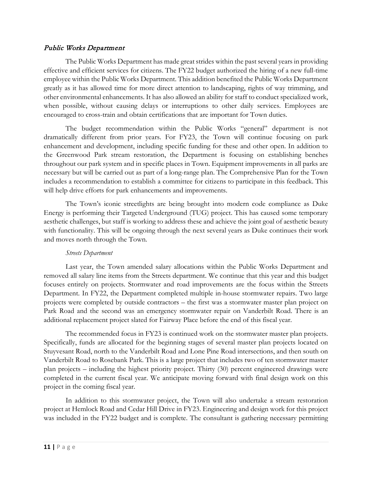### Public Works Department

The Public Works Department has made great strides within the past several years in providing effective and efficient services for citizens. The FY22 budget authorized the hiring of a new full-time employee within the Public Works Department. This addition benefited the Public Works Department greatly as it has allowed time for more direct attention to landscaping, rights of way trimming, and other environmental enhancements. It has also allowed an ability for staff to conduct specialized work, when possible, without causing delays or interruptions to other daily services. Employees are encouraged to cross-train and obtain certifications that are important for Town duties.

The budget recommendation within the Public Works "general" department is not dramatically different from prior years. For FY23, the Town will continue focusing on park enhancement and development, including specific funding for these and other open. In addition to the Greenwood Park stream restoration, the Department is focusing on establishing benches throughout our park system and in specific places in Town. Equipment improvements in all parks are necessary but will be carried out as part of a long-range plan. The Comprehensive Plan for the Town includes a recommendation to establish a committee for citizens to participate in this feedback. This will help drive efforts for park enhancements and improvements.

The Town's iconic streetlights are being brought into modern code compliance as Duke Energy is performing their Targeted Underground (TUG) project. This has caused some temporary aesthetic challenges, but staff is working to address these and achieve the joint goal of aesthetic beauty with functionality. This will be ongoing through the next several years as Duke continues their work and moves north through the Town.

#### *Streets Department*

Last year, the Town amended salary allocations within the Public Works Department and removed all salary line items from the Streets department. We continue that this year and this budget focuses entirely on projects. Stormwater and road improvements are the focus within the Streets Department. In FY22, the Department completed multiple in-house stormwater repairs. Two large projects were completed by outside contractors – the first was a stormwater master plan project on Park Road and the second was an emergency stormwater repair on Vanderbilt Road. There is an additional replacement project slated for Fairway Place before the end of this fiscal year.

The recommended focus in FY23 is continued work on the stormwater master plan projects. Specifically, funds are allocated for the beginning stages of several master plan projects located on Stuyvesant Road, north to the Vanderbilt Road and Lone Pine Road intersections, and then south on Vanderbilt Road to Rosebank Park. This is a large project that includes two of ten stormwater master plan projects – including the highest priority project. Thirty (30) percent engineered drawings were completed in the current fiscal year. We anticipate moving forward with final design work on this project in the coming fiscal year.

In addition to this stormwater project, the Town will also undertake a stream restoration project at Hemlock Road and Cedar Hill Drive in FY23. Engineering and design work for this project was included in the FY22 budget and is complete. The consultant is gathering necessary permitting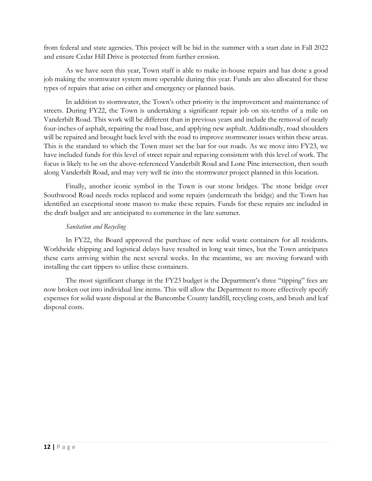from federal and state agencies. This project will be bid in the summer with a start date in Fall 2022 and ensure Cedar Hill Drive is protected from further erosion.

As we have seen this year, Town staff is able to make in-house repairs and has done a good job making the stormwater system more operable during this year. Funds are also allocated for these types of repairs that arise on either and emergency or planned basis.

In addition to stormwater, the Town's other priority is the improvement and maintenance of streets. During FY22, the Town is undertaking a significant repair job on six-tenths of a mile on Vanderbilt Road. This work will be different than in previous years and include the removal of nearly four-inches of asphalt, repairing the road base, and applying new asphalt. Additionally, road shoulders will be repaired and brought back level with the road to improve stormwater issues within these areas. This is the standard to which the Town must set the bar for our roads. As we move into FY23, we have included funds for this level of street repair and repaving consistent with this level of work. The focus is likely to be on the above-referenced Vanderbilt Road and Lone Pine intersection, then south along Vanderbilt Road, and may very well tie into the stormwater project planned in this location.

Finally, another iconic symbol in the Town is our stone bridges. The stone bridge over Southwood Road needs rocks replaced and some repairs (underneath the bridge) and the Town has identified an exceptional stone mason to make these repairs. Funds for these repairs are included in the draft budget and are anticipated to commence in the late summer.

### *Sanitation and Recycling*

In FY22, the Board approved the purchase of new solid waste containers for all residents. Worldwide shipping and logistical delays have resulted in long wait times, but the Town anticipates these carts arriving within the next several weeks. In the meantime, we are moving forward with installing the cart tippers to utilize these containers.

The most significant change in the FY23 budget is the Department's three "tipping" fees are now broken out into individual line items. This will allow the Department to more effectively specify expenses for solid waste disposal at the Buncombe County landfill, recycling costs, and brush and leaf disposal costs.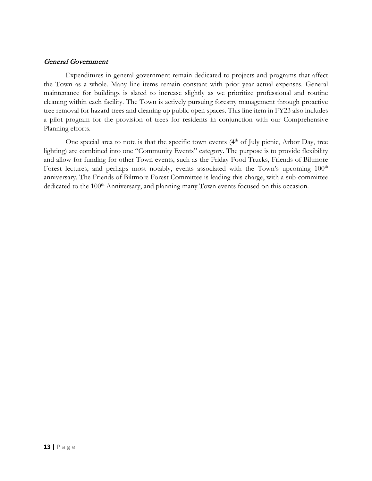### General Government

Expenditures in general government remain dedicated to projects and programs that affect the Town as a whole. Many line items remain constant with prior year actual expenses. General maintenance for buildings is slated to increase slightly as we prioritize professional and routine cleaning within each facility. The Town is actively pursuing forestry management through proactive tree removal for hazard trees and cleaning up public open spaces. This line item in FY23 also includes a pilot program for the provision of trees for residents in conjunction with our Comprehensive Planning efforts.

One special area to note is that the specific town events  $(4<sup>th</sup>$  of July picnic, Arbor Day, tree lighting) are combined into one "Community Events" category. The purpose is to provide flexibility and allow for funding for other Town events, such as the Friday Food Trucks, Friends of Biltmore Forest lectures, and perhaps most notably, events associated with the Town's upcoming 100<sup>th</sup> anniversary. The Friends of Biltmore Forest Committee is leading this charge, with a sub-committee dedicated to the 100<sup>th</sup> Anniversary, and planning many Town events focused on this occasion.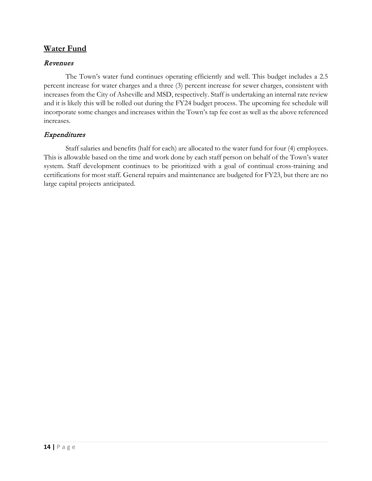# **Water Fund**

# Revenues

The Town's water fund continues operating efficiently and well. This budget includes a 2.5 percent increase for water charges and a three (3) percent increase for sewer charges, consistent with increases from the City of Asheville and MSD, respectively. Staff is undertaking an internal rate review and it is likely this will be rolled out during the FY24 budget process. The upcoming fee schedule will incorporate some changes and increases within the Town's tap fee cost as well as the above referenced increases.

# **Expenditures**

Staff salaries and benefits (half for each) are allocated to the water fund for four (4) employees. This is allowable based on the time and work done by each staff person on behalf of the Town's water system. Staff development continues to be prioritized with a goal of continual cross-training and certifications for most staff. General repairs and maintenance are budgeted for FY23, but there are no large capital projects anticipated.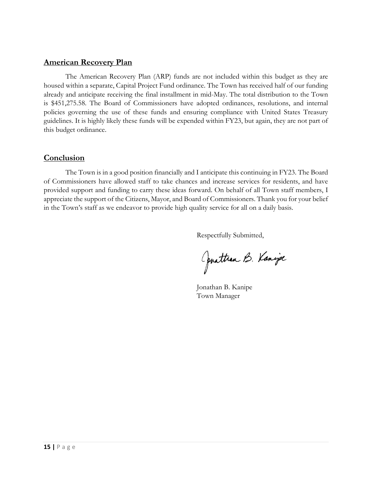# **American Recovery Plan**

The American Recovery Plan (ARP) funds are not included within this budget as they are housed within a separate, Capital Project Fund ordinance. The Town has received half of our funding already and anticipate receiving the final installment in mid-May. The total distribution to the Town is \$451,275.58. The Board of Commissioners have adopted ordinances, resolutions, and internal policies governing the use of these funds and ensuring compliance with United States Treasury guidelines. It is highly likely these funds will be expended within FY23, but again, they are not part of this budget ordinance.

# **Conclusion**

The Town is in a good position financially and I anticipate this continuing in FY23. The Board of Commissioners have allowed staff to take chances and increase services for residents, and have provided support and funding to carry these ideas forward. On behalf of all Town staff members, I appreciate the support of the Citizens, Mayor, and Board of Commissioners. Thank you for your belief in the Town's staff as we endeavor to provide high quality service for all on a daily basis.

Respectfully Submitted,

Oprattran B. Kanipe

Jonathan B. Kanipe Town Manager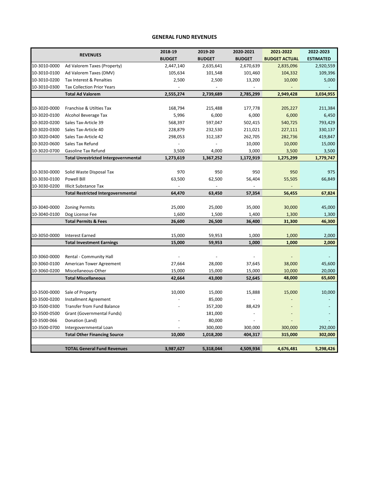#### **GENERAL FUND REVENUES**

|              |                                             | 2018-19       | 2019-20                  | 2020-2021                | 2021-2022            | 2022-2023        |
|--------------|---------------------------------------------|---------------|--------------------------|--------------------------|----------------------|------------------|
|              | <b>REVENUES</b>                             | <b>BUDGET</b> | <b>BUDGET</b>            | <b>BUDGET</b>            | <b>BUDGET ACTUAL</b> | <b>ESTIMATED</b> |
| 10-3010-0000 | Ad Valorem Taxes (Property)                 | 2,447,140     | 2,635,641                | 2,670,639                | 2,835,096            | 2,920,559        |
| 10-3010-0100 | Ad Valorem Taxes (DMV)                      | 105,634       | 101,548                  | 101,460                  | 104,332              | 109,396          |
| 10-3010-0200 | Tax Interest & Penalties                    | 2,500         | 2,500                    | 13,200                   | 10,000               | 5,000            |
| 10-3010-0300 | <b>Tax Collection Prior Years</b>           |               | $\overline{\phantom{a}}$ | $\overline{a}$           |                      |                  |
|              | <b>Total Ad Valorem</b>                     | 2,555,274     | 2,739,689                | 2,785,299                | 2,949,428            | 3,034,955        |
|              |                                             |               |                          |                          |                      |                  |
| 10-3020-0000 | Franchise & Utilties Tax                    | 168,794       | 215,488                  | 177,778                  | 205,227              | 211,384          |
| 10-3020-0100 | Alcohol Beverage Tax                        | 5,996         | 6,000                    | 6,000                    | 6,000                | 6,450            |
| 10-3020-0200 | Sales Tax-Article 39                        | 568,397       | 597,047                  | 502,415                  | 540,725              | 793,429          |
| 10-3020-0300 | Sales Tax-Article 40                        | 228,879       | 232,530                  | 211,021                  | 227,111              | 330,137          |
| 10-3020-0400 | Sales Tax-Article 42                        | 298,053       | 312,187                  | 262,705                  | 282,736              | 419,847          |
| 10-3020-0600 | Sales Tax Refund                            |               |                          | 10,000                   | 10,000               | 15,000           |
| 10-3020-0700 | <b>Gasoline Tax Refund</b>                  | 3,500         | 4,000                    | 3,000                    | 3,500                | 3,500            |
|              | <b>Total Unrestricted Intergovernmental</b> | 1,273,619     | 1,367,252                | 1,172,919                | 1,275,299            | 1,779,747        |
|              |                                             |               |                          |                          |                      |                  |
| 10-3030-0000 | Solid Waste Disposal Tax                    | 970           | 950                      | 950                      | 950                  | 975              |
| 10-3030-0100 | <b>Powell Bill</b>                          | 63,500        | 62,500                   | 56,404                   | 55,505               | 66,849           |
| 10-3030-0200 | <b>Illicit Substance Tax</b>                |               |                          |                          |                      |                  |
|              | <b>Total Restricted Intergovernmental</b>   | 64,470        | 63,450                   | 57,354                   | 56,455               | 67,824           |
|              |                                             |               |                          |                          |                      |                  |
| 10-3040-0000 | <b>Zoning Permits</b>                       | 25,000        | 25,000                   | 35,000                   | 30,000               | 45,000           |
| 10-3040-0100 | Dog License Fee                             | 1,600         | 1,500                    | 1,400                    | 1,300                | 1,300            |
|              | <b>Total Permits &amp; Fees</b>             | 26,600        | 26,500                   | 36,400                   | 31,300               | 46,300           |
|              |                                             |               |                          |                          |                      |                  |
| 10-3050-0000 | <b>Interest Earned</b>                      | 15,000        | 59,953                   | 1,000                    | 1,000                | 2,000            |
|              | <b>Total Investment Earnings</b>            | 15,000        | 59,953                   | 1,000                    | 1,000                | 2,000            |
|              |                                             |               |                          |                          |                      |                  |
| 10-3060-0000 | Rental - Community Hall                     |               |                          |                          |                      |                  |
| 10-3060-0100 | American Tower Agreement                    | 27,664        | 28,000                   | 37,645                   | 38,000               | 45,600           |
| 10-3060-0200 | Miscellaneous-Other                         | 15,000        | 15,000                   | 15,000                   | 10,000               | 20,000           |
|              | <b>Total Miscellaneous</b>                  | 42,664        | 43,000                   | 52,645                   | 48,000               | 65,600           |
|              |                                             |               |                          |                          |                      |                  |
| 10-3500-0000 | Sale of Property                            | 10,000        | 15,000                   | 15,888                   | 15,000               | 10,000           |
| 10-3500-0200 | <b>Installment Agreement</b>                |               | 85,000                   | $\overline{a}$           |                      |                  |
| 10-3500-0300 | <b>Transfer from Fund Balance</b>           |               | 357,200                  | 88,429                   |                      |                  |
| 10-3500-0500 | Grant (Governmental Funds)                  |               | 181,000                  | $\overline{\phantom{a}}$ |                      |                  |
| 10-3500-066  | Donation (Land)                             |               | 80,000                   |                          |                      |                  |
| 10-3500-0700 | Intergovernmental Loan                      |               | 300,000                  | 300,000                  | 300,000              | 292,000          |
|              | <b>Total Other Financing Source</b>         | 10,000        | 1,018,200                | 404,317                  | 315,000              | 302,000          |
|              |                                             |               |                          |                          |                      |                  |
|              | <b>TOTAL General Fund Revenues</b>          | 3,987,627     | 5,318,044                | 4,509,934                | 4,676,481            | 5,298,426        |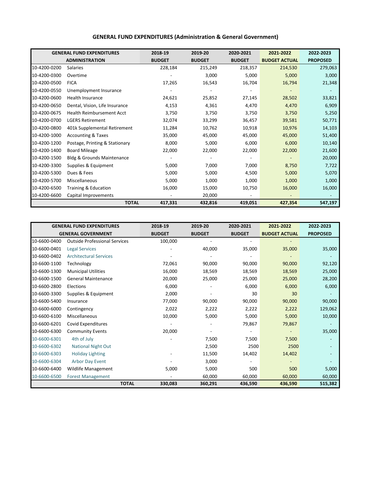|              | <b>GENERAL FUND EXPENDITURES</b> | 2018-19       | 2019-20       | 2020-2021     | 2021-2022            | 2022-2023       |
|--------------|----------------------------------|---------------|---------------|---------------|----------------------|-----------------|
|              | <b>ADMINISTRATION</b>            | <b>BUDGET</b> | <b>BUDGET</b> | <b>BUDGET</b> | <b>BUDGET ACTUAL</b> | <b>PROPOSED</b> |
| 10-4200-0200 | Salaries                         | 228,184       | 215,249       | 218,357       | 214,530              | 279,063         |
| 10-4200-0300 | Overtime                         |               | 3,000         | 5,000         | 5,000                | 3,000           |
| 10-4200-0500 | <b>FICA</b>                      | 17,265        | 16,543        | 16,704        | 16,794               | 21,348          |
| 10-4200-0550 | Unemployment Insurance           |               |               |               |                      |                 |
| 10-4200-0600 | <b>Health Insurance</b>          | 24,621        | 25,852        | 27,145        | 28,502               | 33,821          |
| 10-4200-0650 | Dental, Vision, Life Insurance   | 4,153         | 4,361         | 4,470         | 4,470                | 6,909           |
| 10-4200-0675 | Health Reimbursement Acct        | 3,750         | 3,750         | 3,750         | 3,750                | 5,250           |
| 10-4200-0700 | <b>LGERS Retirement</b>          | 32,074        | 33,299        | 36,457        | 39,581               | 50,771          |
| 10-4200-0800 | 401k Supplemental Retirement     | 11,284        | 10,762        | 10,918        | 10,976               | 14,103          |
| 10-4200-1000 | <b>Accounting &amp; Taxes</b>    | 35,000        | 45,000        | 45,000        | 45,000               | 51,400          |
| 10-4200-1200 | Postage, Printing & Stationary   | 8,000         | 5,000         | 6,000         | 6,000                | 10,140          |
| 10-4200-1400 | <b>Board Mileage</b>             | 22,000        | 22,000        | 22,000        | 22,000               | 21,600          |
| 10-4200-1500 | Bldg & Grounds Maintenance       |               |               |               |                      | 20,000          |
| 10-4200-3300 | Supplies & Equipment             | 5,000         | 7,000         | 7,000         | 8,750                | 7,722           |
| 10-4200-5300 | Dues & Fees                      | 5,000         | 5,000         | 4,500         | 5,000                | 5,070           |
| 10-4200-5700 | Miscellaneous                    | 5,000         | 1,000         | 1,000         | 1,000                | 1,000           |
| 10-4200-6500 | Training & Education             | 16,000        | 15,000        | 10,750        | 16,000               | 16,000          |
| 10-4200-6600 | Capital Improvements             |               | 20,000        |               |                      |                 |
|              | <b>TOTAL</b>                     | 417,331       | 432,816       | 419,051       | 427,354              | 547,197         |

|              | <b>GENERAL FUND EXPENDITURES</b>     | 2018-19                 | 2019-20       | 2020-2021     | 2021-2022            | 2022-2023       |
|--------------|--------------------------------------|-------------------------|---------------|---------------|----------------------|-----------------|
|              | <b>GENERAL GOVERNMENT</b>            | <b>BUDGET</b>           | <b>BUDGET</b> | <b>BUDGET</b> | <b>BUDGET ACTUAL</b> | <b>PROPOSED</b> |
| 10-6600-0400 | <b>Outside Professional Services</b> | 100,000                 |               |               |                      |                 |
| 10-6600-0401 | <b>Legal Services</b>                |                         | 40,000        | 35,000        | 35,000               | 35,000          |
| 10-6600-0402 | <b>Architectural Services</b>        |                         |               |               |                      |                 |
| 10-6600-1100 | Technology                           | 72,061                  | 90,000        | 90,000        | 90,000               | 92,120          |
| 10-6600-1300 | <b>Municipal Utilities</b>           | 16,000                  | 18,569        | 18,569        | 18,569               | 25,000          |
| 10-6600-1500 | <b>General Maintenance</b>           | 20,000                  | 25,000        | 25,000        | 25,000               | 28,200          |
| 10-6600-2800 | Elections                            | 6,000                   |               | 6,000         | 6,000                | 6,000           |
| 10-6600-3300 | Supplies & Equipment                 | 2,000                   |               | 30            | 30                   |                 |
| 10-6600-5400 | Insurance                            | 77,000                  | 90,000        | 90,000        | 90,000               | 90,000          |
| 10-6600-6000 | Contingency                          | 2,022                   | 2,222         | 2,222         | 2,222                | 129,062         |
| 10-6600-6100 | Miscellaneous                        | 10,000                  | 5,000         | 5,000         | 5,000                | 10,000          |
| 10-6600-6201 | Covid Expenditures                   |                         |               | 79,867        | 79,867               |                 |
| 10-6600-6300 | <b>Community Events</b>              | 20,000                  |               |               |                      | 35,000          |
| 10-6600-6301 | 4th of July                          |                         | 7,500         | 7,500         | 7,500                |                 |
| 10-6600-6302 | <b>National Night Out</b>            |                         | 2,500         | 2500          | 2500                 |                 |
| 10-6600-6303 | <b>Holiday Lighting</b>              |                         | 11,500        | 14,402        | 14,402               |                 |
| 10-6600-6304 | <b>Arbor Day Event</b>               |                         | 3,000         |               |                      |                 |
| 10-6600-6400 | Wildlife Management                  | 5,000                   | 5,000         | 500           | 500                  | 5,000           |
| 10-6600-6500 | <b>Forest Management</b>             |                         | 60,000        | 60,000        | 60,000               | 60,000          |
|              |                                      | <b>TOTAL</b><br>330,083 | 360,291       | 436,590       | 436,590              | 515,382         |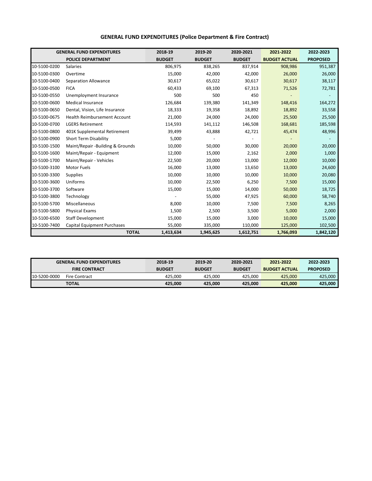|              | <b>GENERAL FUND EXPENDITURES</b>    | 2018-19       | 2019-20       | 2020-2021     | 2021-2022            | 2022-2023       |
|--------------|-------------------------------------|---------------|---------------|---------------|----------------------|-----------------|
|              | <b>POLICE DEPARTMENT</b>            | <b>BUDGET</b> | <b>BUDGET</b> | <b>BUDGET</b> | <b>BUDGET ACTUAL</b> | <b>PROPOSED</b> |
| 10-5100-0200 | <b>Salaries</b>                     | 806,975       | 838,265       | 837,914       | 908,986              | 951,387         |
| 10-5100-0300 | Overtime                            | 15,000        | 42,000        | 42,000        | 26,000               | 26,000          |
| 10-5100-0400 | Separation Allowance                | 30,617        | 65,022        | 30,617        | 30,617               | 38,117          |
| 10-5100-0500 | <b>FICA</b>                         | 60,433        | 69,100        | 67,313        | 71,526               | 72,781          |
| 10-5100-0550 | Unemployment Insurance              | 500           | 500           | 450           |                      |                 |
| 10-5100-0600 | <b>Medical Insurance</b>            | 126,684       | 139,380       | 141,349       | 148,416              | 164,272         |
| 10-5100-0650 | Dental, Vision, Life Insurance      | 18,333        | 19,358        | 18,892        | 18,892               | 33,558          |
| 10-5100-0675 | <b>Health Reimbursement Account</b> | 21,000        | 24,000        | 24,000        | 25,500               | 25,500          |
| 10-5100-0700 | <b>LGERS Retirement</b>             | 114,593       | 141,112       | 146,508       | 168,681              | 185,598         |
| 10-5100-0800 | 401K Supplemental Retirement        | 39,499        | 43,888        | 42,721        | 45,474               | 48,996          |
| 10-5100-0900 | <b>Short Term Disability</b>        | 5,000         |               |               |                      |                 |
| 10-5100-1500 | Maint/Repair -Building & Grounds    | 10,000        | 50,000        | 30,000        | 20,000               | 20,000          |
| 10-5100-1600 | Maint/Repair - Equipment            | 12,000        | 15,000        | 2,162         | 2,000                | 1,000           |
| 10-5100-1700 | Maint/Repair - Vehicles             | 22,500        | 20,000        | 13,000        | 12,000               | 10,000          |
| 10-5100-3100 | Motor Fuels                         | 16,000        | 13,000        | 13,650        | 13,000               | 24,600          |
| 10-5100-3300 | <b>Supplies</b>                     | 10,000        | 10,000        | 10,000        | 10,000               | 20,080          |
| 10-5100-3600 | Uniforms                            | 10,000        | 22,500        | 6,250         | 7,500                | 15,000          |
| 10-5100-3700 | Software                            | 15,000        | 15,000        | 14,000        | 50,000               | 18,725          |
| 10-5100-3800 | Technology                          |               | 55,000        | 47,925        | 60,000               | 58,740          |
| 10-5100-5700 | Miscellaneous                       | 8,000         | 10,000        | 7,500         | 7,500                | 8,265           |
| 10-5100-5800 | <b>Physical Exams</b>               | 1,500         | 2,500         | 3,500         | 5,000                | 2,000           |
| 10-5100-6500 | <b>Staff Development</b>            | 15,000        | 15,000        | 3,000         | 10,000               | 15,000          |
| 10-5100-7400 | <b>Capital Equipment Purchases</b>  | 55,000        | 335,000       | 110,000       | 125,000              | 102,500         |
|              | <b>TOTAL</b>                        | 1,413,634     | 1,945,625     | 1,612,751     | 1,766,093            | 1,842,120       |

#### **GENERAL FUND EXPENDITURES (Police Department & Fire Contract)**

|              | <b>GENERAL FUND EXPENDITURES</b> | 2018-19       | 2019-20       | 2020-2021     | 2021-2022            | 2022-2023       |
|--------------|----------------------------------|---------------|---------------|---------------|----------------------|-----------------|
|              | <b>FIRE CONTRACT</b>             | <b>BUDGET</b> | <b>BUDGET</b> | <b>BUDGET</b> | <b>BUDGET ACTUAL</b> | <b>PROPOSED</b> |
| 10-5200-0000 | <b>Fire Contract</b>             | 425.000       | 425.000       | 425.000       | 425.000              | 425.000         |
|              | <b>TOTAL</b>                     | 425,000       | 425.000       | 425.000       | 425.000              | 425,000         |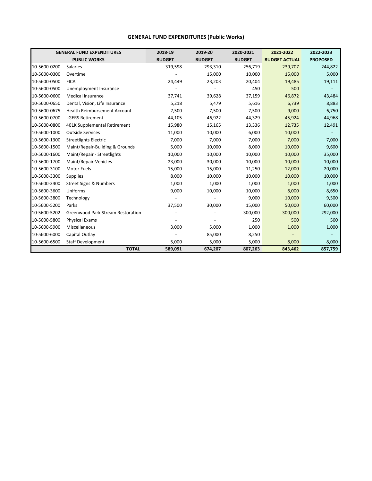#### **GENERAL FUND EXPENDITURES (Public Works)**

|              | <b>GENERAL FUND EXPENDITURES</b>         | 2018-19       | 2019-20       | 2020-2021     | 2021-2022            | 2022-2023       |
|--------------|------------------------------------------|---------------|---------------|---------------|----------------------|-----------------|
|              | <b>PUBLIC WORKS</b>                      | <b>BUDGET</b> | <b>BUDGET</b> | <b>BUDGET</b> | <b>BUDGET ACTUAL</b> | <b>PROPOSED</b> |
| 10-5600-0200 | Salaries                                 | 319,598       | 293,310       | 256,719       | 239,707              | 244,822         |
| 10-5600-0300 | Overtime                                 |               | 15,000        | 10,000        | 15,000               | 5,000           |
| 10-5600-0500 | <b>FICA</b>                              | 24,449        | 23,203        | 20,404        | 19,485               | 19,111          |
| 10-5600-0500 | Unemployment Insurance                   |               |               | 450           | 500                  |                 |
| 10-5600-0600 | <b>Medical Insurance</b>                 | 37,741        | 39,628        | 37,159        | 46,872               | 43,484          |
| 10-5600-0650 | Dental, Vision, Life Insurance           | 5,218         | 5,479         | 5,616         | 6,739                | 8,883           |
| 10-5600-0675 | <b>Health Reimbursement Account</b>      | 7,500         | 7,500         | 7,500         | 9,000                | 6,750           |
| 10-5600-0700 | <b>LGERS Retirement</b>                  | 44,105        | 46,922        | 44,329        | 45,924               | 44,968          |
| 10-5600-0800 | 401K Supplemental Retirement             | 15,980        | 15,165        | 13,336        | 12,735               | 12,491          |
| 10-5600-1000 | <b>Outside Services</b>                  | 11,000        | 10,000        | 6,000         | 10,000               |                 |
| 10-5600-1300 | <b>Streetlights Electric</b>             | 7,000         | 7,000         | 7,000         | 7,000                | 7,000           |
| 10-5600-1500 | Maint/Repair-Building & Grounds          | 5,000         | 10,000        | 8,000         | 10,000               | 9,600           |
| 10-5600-1600 | Maint/Repair - Streetlights              | 10,000        | 10,000        | 10,000        | 10,000               | 35,000          |
| 10-5600-1700 | Maint/Repair-Vehicles                    | 23,000        | 30,000        | 10,000        | 10,000               | 10,000          |
| 10-5600-3100 | <b>Motor Fuels</b>                       | 15,000        | 15,000        | 11,250        | 12,000               | 20,000          |
| 10-5600-3300 | <b>Supplies</b>                          | 8,000         | 10,000        | 10,000        | 10,000               | 10,000          |
| 10-5600-3400 | <b>Street Signs &amp; Numbers</b>        | 1,000         | 1,000         | 1,000         | 1,000                | 1,000           |
| 10-5600-3600 | Uniforms                                 | 9,000         | 10,000        | 10,000        | 8,000                | 8,650           |
| 10-5600-3800 | Technology                               |               |               | 9,000         | 10,000               | 9,500           |
| 10-5600-5200 | Parks                                    | 37,500        | 30,000        | 15,000        | 50,000               | 60,000          |
| 10-5600-5202 | <b>Greenwood Park Stream Restoration</b> |               |               | 300,000       | 300,000              | 292,000         |
| 10-5600-5800 | <b>Physical Exams</b>                    |               |               | 250           | 500                  | 500             |
| 10-5600-5900 | Miscellaneous                            | 3,000         | 5,000         | 1,000         | 1,000                | 1,000           |
| 10-5600-6000 | Capital Outlay                           |               | 85,000        | 8,250         |                      |                 |
| 10-5600-6500 | <b>Staff Development</b>                 | 5,000         | 5,000         | 5,000         | 8,000                | 8,000           |
|              | <b>TOTAL</b>                             | 589,091       | 674,207       | 807,263       | 843,462              | 857,759         |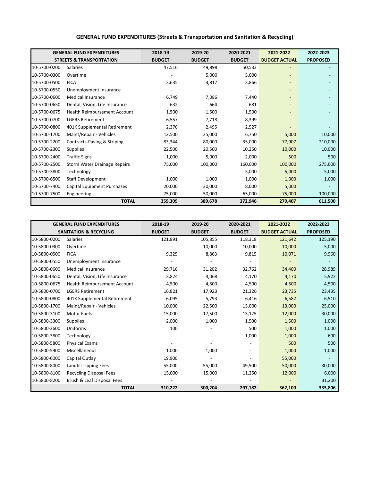|              | <b>GENERAL FUND EXPENDITURES</b>    | 2018-19       | 2019-20       | 2020-2021     | 2021-2022                | 2022-2023       |
|--------------|-------------------------------------|---------------|---------------|---------------|--------------------------|-----------------|
|              | <b>STREETS &amp; TRANSPORTATION</b> | <b>BUDGET</b> | <b>BUDGET</b> | <b>BUDGET</b> | <b>BUDGET ACTUAL</b>     | <b>PROPOSED</b> |
| 10-5700-0200 | <b>Salaries</b>                     | 47,516        | 49,898        | 50,533        |                          |                 |
| 10-5700-0300 | Overtime                            |               | 5,000         | 5,000         |                          |                 |
| 10-5700-0500 | <b>FICA</b>                         | 3,635         | 3,817         | 3,866         |                          |                 |
| 10-5700-0550 | Unemployment Insurance              |               |               |               |                          |                 |
| 10-5700-0600 | <b>Medical Insurance</b>            | 6,749         | 7,086         | 7,440         |                          |                 |
| 10-5700-0650 | Dental, Vision, Life Insurance      | 632           | 664           | 681           |                          |                 |
| 10-5700-0675 | <b>Health Reimbursement Account</b> | 1,500         | 1,500         | 1,500         |                          |                 |
| 10-5700-0700 | <b>LGERS Retirement</b>             | 6,557         | 7,718         | 8,399         | $\overline{\phantom{0}}$ |                 |
| 10-5700-0800 | 401K Supplemental Retirement        | 2,376         | 2,495         | 2,527         |                          |                 |
| 10-5700-1700 | Maint/Repair - Vehicles             | 12,500        | 25,000        | 6,750         | 5,000                    | 10,000          |
| 10-5700-2200 | Contracts-Paving & Striping         | 83,344        | 80,000        | 35,000        | 77,907                   | 210,000         |
| 10-5700-2300 | <b>Supplies</b>                     | 22,500        | 20,500        | 10,250        | 10,000                   | 10,000          |
| 10-5700-2400 | <b>Traffic Signs</b>                | 1,000         | 5,000         | 2,000         | 500                      | 500             |
| 10-5700-2500 | Storm Water Drainage Repairs        | 75,000        | 100,000       | 160,000       | 100,000                  | 275,000         |
| 10-5700-3800 | Technology                          |               |               | 5,000         | 5,000                    | 5,000           |
| 10-5700-6500 | Staff Development                   | 1,000         | 1,000         | 1,000         | 1,000                    | 1,000           |
| 10-5700-7400 | Capital Equipment Purchases         | 20,000        | 30,000        | 8,000         | 5,000                    |                 |
| 10-5700-7500 | Engineering                         | 75,000        | 50,000        | 65,000        | 75,000                   | 100,000         |
|              | <b>TOTAL</b>                        | 359,309       | 389,678       | 372,946       | 279,407                  | 611,500         |

#### **GENERAL FUND EXPENDITURES (Streets & Transportation and Sanitation & Recycling)**

|              | <b>GENERAL FUND EXPENDITURES</b>  | 2018-19       | 2019-20       | 2020-2021     | 2021-2022            | 2022-2023       |
|--------------|-----------------------------------|---------------|---------------|---------------|----------------------|-----------------|
|              | <b>SANITATION &amp; RECYCLING</b> | <b>BUDGET</b> | <b>BUDGET</b> | <b>BUDGET</b> | <b>BUDGET ACTUAL</b> | <b>PROPOSED</b> |
| 10-5800-0200 | <b>Salaries</b>                   | 121,891       | 105,855       | 118,318       | 121,642              | 125,190         |
| 10-5800-0300 | Overtime                          |               | 10,000        | 10,000        | 10,000               | 5,000           |
| 10-5800-0500 | <b>FICA</b>                       | 9,325         | 8,863         | 9,815         | 10,071               | 9,960           |
| 10-5800-0550 | Unemployment Insurance            |               |               |               |                      |                 |
| 10-5800-0600 | <b>Medical Insurance</b>          | 29,716        | 31,202        | 32,762        | 34,400               | 28,989          |
| 10-5800-0650 | Dental, Vision, Life Insurance    | 3,874         | 4,068         | 4,170         | 4,170                | 5,922           |
| 10-5800-0675 | Health Reimbursement Account      | 4,500         | 4,500         | 4,500         | 4,500                | 4,500           |
| 10-5800-0700 | <b>LGERS Retirement</b>           | 16,821        | 17,923        | 21,326        | 23,735               | 23,435          |
| 10-5800-0800 | 401K Supplemental Retirement      | 6,095         | 5,793         | 6,416         | 6,582                | 6,510           |
| 10-5800-1700 | Maint/Repair - Vehicles           | 10,000        | 22,500        | 13,000        | 13,000               | 25,000          |
| 10-5800-3100 | Motor Fuels                       | 15,000        | 17,500        | 13,125        | 12,000               | 30,000          |
| 10-5800-3300 | Supplies                          | 2,000         | 1,000         | 1,500         | 1,500                | 1,000           |
| 10-5800-3600 | Uniforms                          | 100           |               | 500           | 1,000                | 1,000           |
| 10-5800-3800 | Technology                        |               |               | 1,000         | 1,000                | 600             |
| 10-5800-5800 | <b>Physical Exams</b>             |               |               |               | 500                  | 500             |
| 10-5800-5900 | Miscellaneous                     | 1,000         | 1,000         |               | 1,000                | 1,000           |
| 10-5800-6000 | Capital Outlay                    | 19,900        |               |               | 55,000               |                 |
| 10-5800-8000 | Landfill Tipping Fees             | 55,000        | 55,000        | 49,500        | 50,000               | 30,000          |
| 10-5800-8100 | <b>Recycling Disposal Fees</b>    | 15,000        | 15,000        | 11,250        | 12,000               | 6,000           |
| 10-5800-8200 | Brush & Leaf Disposal Fees        |               |               |               |                      | 31,200          |
|              | <b>TOTAL</b>                      | 310,222       | 300,204       | 297,182       | 362,100              | 335,806         |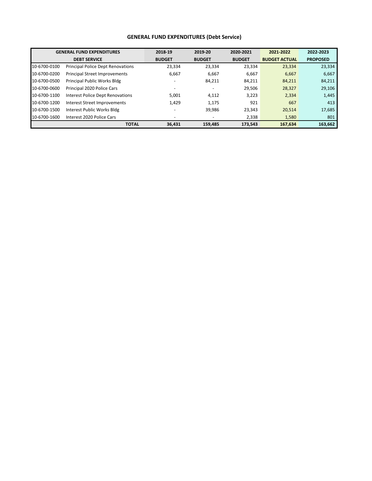#### **GENERAL FUND EXPENDITURES (Debt Service)**

|              | <b>GENERAL FUND EXPENDITURES</b>         | 2018-19                      | 2019-20                  | 2020-2021     | 2021-2022            | 2022-2023       |
|--------------|------------------------------------------|------------------------------|--------------------------|---------------|----------------------|-----------------|
|              | <b>DEBT SERVICE</b>                      | <b>BUDGET</b>                | <b>BUDGET</b>            | <b>BUDGET</b> | <b>BUDGET ACTUAL</b> | <b>PROPOSED</b> |
| 10-6700-0100 | <b>Principal Police Dept Renovations</b> | 23,334                       | 23,334                   | 23,334        | 23,334               | 23,334          |
| 10-6700-0200 | <b>Principal Street Improvements</b>     | 6,667                        | 6,667                    | 6,667         | 6,667                | 6,667           |
| 10-6700-0500 | Principal Public Works Bldg              |                              | 84,211                   | 84,211        | 84,211               | 84,211          |
| 10-6700-0600 | Principal 2020 Police Cars               | $\qquad \qquad \blacksquare$ | $\overline{\phantom{a}}$ | 29,506        | 28,327               | 29,106          |
| 10-6700-1100 | <b>Interest Police Dept Renovations</b>  | 5,001                        | 4,112                    | 3,223         | 2,334                | 1,445           |
| 10-6700-1200 | Interest Street Improvements             | 1,429                        | 1,175                    | 921           | 667                  | 413             |
| 10-6700-1500 | Interest Public Works Bldg               |                              | 39,986                   | 23,343        | 20,514               | 17,685          |
| 10-6700-1600 | Interest 2020 Police Cars                | $\qquad \qquad \blacksquare$ |                          | 2,338         | 1,580                | 801             |
|              | <b>TOTAL</b>                             | 36,431                       | 159,485                  | 173,543       | 167,634              | 163,662         |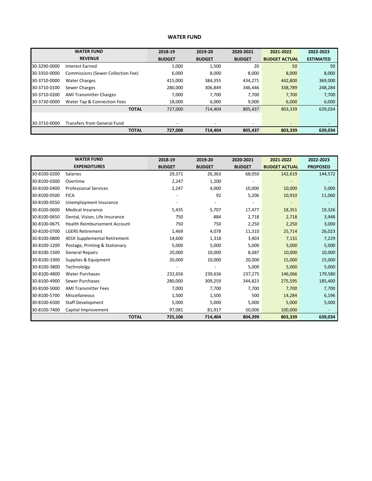#### **WATER FUND**

| <b>WATER FUND</b> |                                    | 2019-20<br>2018-19 |                          | 2020-2021                | 2021-2022                | 2022-2023        |
|-------------------|------------------------------------|--------------------|--------------------------|--------------------------|--------------------------|------------------|
|                   | <b>REVENUE</b>                     | <b>BUDGET</b>      | <b>BUDGET</b>            | <b>BUDGET</b>            | <b>BUDGET ACTUAL</b>     | <b>ESTIMATED</b> |
| 30-3290-0000      | Interest Earned                    | 1,000              | 1,500                    | 20                       | 50                       | 50               |
| 30-3350-0000      | Commissions (Sewer Collection Fee) | 6,000              | 8,000                    | 8,000                    | 8,000                    | 8,000            |
| 30-3710-0000      | <b>Water Charges</b>               | 415,000            | 384,355                  | 434,271                  | 442,800                  | 369,000          |
| 30-3710-0100      | Sewer Charges                      | 280,000            | 306,849                  | 346,446                  | 338,789                  | 248,284          |
| 30-3710-0200      | <b>AMI Transmitter Charges</b>     | 7,000              | 7,700                    | 7,700                    | 7,700                    | 7,700            |
| 30-3730-0000      | Water Tap & Connection Fees        | 18,000             | 6,000                    | 9,000                    | 6,000                    | 6,000            |
|                   | <b>TOTAL</b>                       | 727,000            | 714,404                  | 805,437                  | 803,339                  | 639,034          |
|                   |                                    |                    |                          |                          |                          |                  |
| 30-3710-0000      | <b>Transfers from General Fund</b> |                    | $\overline{\phantom{a}}$ | $\overline{\phantom{a}}$ | $\overline{\phantom{m}}$ |                  |
|                   | <b>TOTAL</b>                       | 727,000            | 714,404                  | 805,437                  | 803,339                  | 639,034          |

| <b>WATER FUND</b> |                                     | 2018-19       | 2019-20       |               | 2021-2022            | 2022-2023       |
|-------------------|-------------------------------------|---------------|---------------|---------------|----------------------|-----------------|
|                   | <b>EXPENDITURES</b>                 | <b>BUDGET</b> | <b>BUDGET</b> | <b>BUDGET</b> | <b>BUDGET ACTUAL</b> | <b>PROPOSED</b> |
| 30-8100-0200      | Salaries                            | 29,371        | 26,363        | 68,050        | 142,619              | 144,572         |
| 30-8100-0300      | Overtime                            | 2,247         | 1,200         |               |                      |                 |
| 30-8100-0400      | <b>Professional Services</b>        | 2,247         | 4,000         | 10,000        | 10,000               | 5,000           |
| 30-8100-0500      | <b>FICA</b>                         |               | 92            | 5,206         | 10,910               | 11,060          |
| 30-8100-0550      | Unemployment Insurance              |               |               |               |                      |                 |
| 30-8100-0600      | <b>Medical Insurance</b>            | 5,435         | 5,707         | 17,477        | 18,351               | 19,326          |
| 30-8100-0650      | Dental, Vision, Life Insurance      | 750           | 884           | 2,718         | 2,718                | 3,948           |
| 30-8100-0675      | <b>Health Reimbursement Account</b> | 750           | 750           | 2,250         | 2,250                | 3,000           |
| 30-8100-0700      | <b>LGERS Retirement</b>             | 1,469         | 4,078         | 11,310        | 25,714               | 26,023          |
| 30-8100-0800      | 401K Supplemental Retirement        | 14,600        | 1,318         | 3,403         | 7,131                | 7,229           |
| 30-8100-1200      | Postage, Printing & Stationary      | 5,000         | 5,000         | 5,000         | 5,000                | 5,000           |
| 30-8100-1500      | <b>General Repairs</b>              | 20,000        | 10,000        | 8,687         | 10,000               | 10,000          |
| 30-8100-3300      | Supplies & Equipment                | 20,000        | 10,000        | 20,000        | 15,000               | 15,000          |
| 30-8100-3800      | Technololgy                         |               |               | 5,000         | 5,000                | 5,000           |
| 30-8100-4800      | <b>Water Purchases</b>              | 232,656       | 239,636       | 237,275       | 146,066              | 179,580         |
| 30-8100-4900      | Sewer Purchases                     | 280,000       | 309,259       | 344,823       | 275,595              | 185,400         |
| 30-8100-5000      | <b>AMI Transmitter Fees</b>         | 7,000         | 7,700         | 7,700         | 7,700                | 7,700           |
| 30-8100-5700      | Miscellaneous                       | 1,500         | 1,500         | 500           | 14,284               | 6,196           |
| 30-8100-6500      | <b>Staff Development</b>            | 5,000         | 5,000         | 5,000         | 5,000                | 5,000           |
| 30-8100-7400      | Capital Improvement                 | 97,081        | 81,917        | 50,000        | 100,000              |                 |
|                   | <b>TOTAL</b>                        | 725,106       | 714,404       | 804,399       | 803,339              | 639,034         |